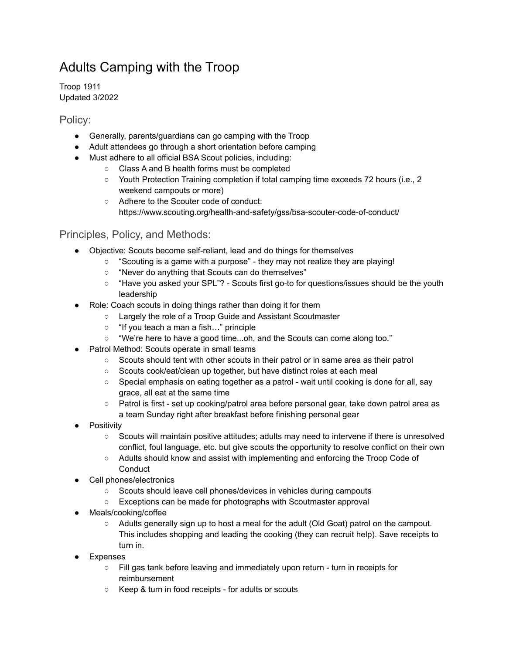## Adults Camping with the Troop

Troop 1911 Updated 3/2022

Policy:

- Generally, parents/guardians can go camping with the Troop
- Adult attendees go through a short orientation before camping
- Must adhere to all official BSA Scout policies, including:
	- Class A and B health forms must be completed
	- Youth Protection Training completion if total camping time exceeds 72 hours (i.e., 2 weekend campouts or more)
	- Adhere to the Scouter code of conduct: https://www.scouting.org/health-and-safety/gss/bsa-scouter-code-of-conduct/

## Principles, Policy, and Methods:

- Objective: Scouts become self-reliant, lead and do things for themselves
	- "Scouting is a game with a purpose" they may not realize they are playing!
	- "Never do anything that Scouts can do themselves"
	- "Have you asked your SPL"? Scouts first go-to for questions/issues should be the youth leadership
- Role: Coach scouts in doing things rather than doing it for them
	- Largely the role of a Troop Guide and Assistant Scoutmaster
	- "If you teach a man a fish…" principle
	- "We're here to have a good time...oh, and the Scouts can come along too."
- Patrol Method: Scouts operate in small teams
	- $\circ$  Scouts should tent with other scouts in their patrol or in same area as their patrol
	- Scouts cook/eat/clean up together, but have distinct roles at each meal
	- Special emphasis on eating together as a patrol wait until cooking is done for all, say grace, all eat at the same time
	- Patrol is first set up cooking/patrol area before personal gear, take down patrol area as a team Sunday right after breakfast before finishing personal gear
- Positivity
	- Scouts will maintain positive attitudes; adults may need to intervene if there is unresolved conflict, foul language, etc. but give scouts the opportunity to resolve conflict on their own
	- Adults should know and assist with implementing and enforcing the Troop Code of **Conduct**
- Cell phones/electronics
	- Scouts should leave cell phones/devices in vehicles during campouts
	- Exceptions can be made for photographs with Scoutmaster approval
- Meals/cooking/coffee
	- Adults generally sign up to host a meal for the adult (Old Goat) patrol on the campout. This includes shopping and leading the cooking (they can recruit help). Save receipts to turn in.
- Expenses
	- Fill gas tank before leaving and immediately upon return turn in receipts for reimbursement
	- Keep & turn in food receipts for adults or scouts